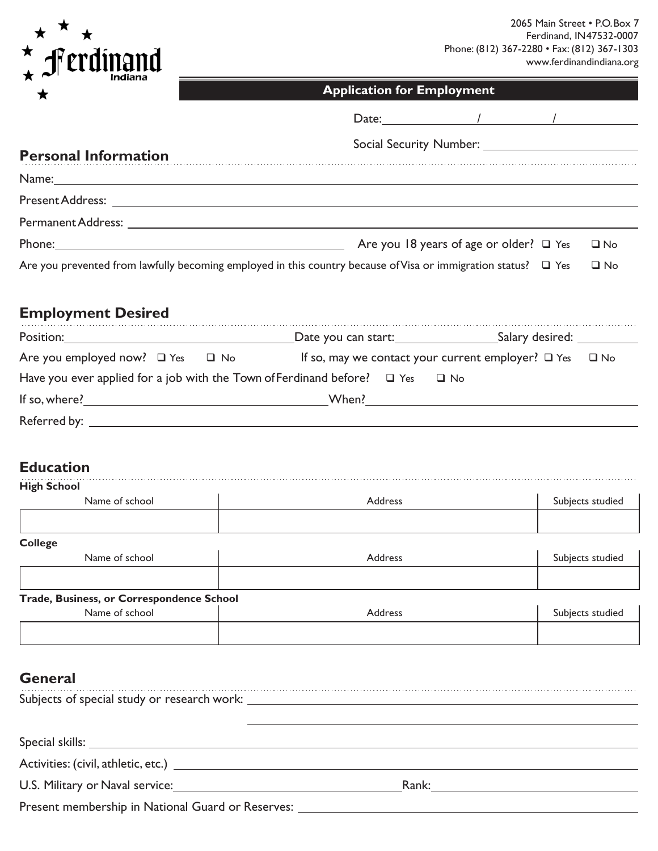

| mulana<br>★                 | <b>Application for Employment</b>                                                                                                                                                                                             |  |  |
|-----------------------------|-------------------------------------------------------------------------------------------------------------------------------------------------------------------------------------------------------------------------------|--|--|
|                             | Date: $\qquad \qquad / \qquad \qquad / \qquad \qquad$                                                                                                                                                                         |  |  |
| <b>Personal Information</b> |                                                                                                                                                                                                                               |  |  |
|                             | Name: Name: Name: Name: Name: Name: Name: Name: Name: Name: Name: Name: Name: Name: Name: Name: Name: Name: Name: Name: Name: Name: Name: Name: Name: Name: Name: Name: Name: Name: Name: Name: Name: Name: Name: Name: Name: |  |  |
|                             |                                                                                                                                                                                                                               |  |  |
|                             |                                                                                                                                                                                                                               |  |  |
|                             | Are you 18 years of age or older? $\Box$ Yes<br>$\square$ No                                                                                                                                                                  |  |  |
|                             | Are you prevented from lawfully becoming employed in this country because of Visa or immigration status? $\Box$ Yes<br>$\square$ No                                                                                           |  |  |
| <b>Employment Desired</b>   |                                                                                                                                                                                                                               |  |  |
|                             | Position: Salary desired: Contact Date you can start: Contact Allary desired: Contact Allary desired:                                                                                                                         |  |  |
|                             | Are you employed now? □ Yes □ No If so, may we contact your current employer? □ Yes □ No                                                                                                                                      |  |  |
|                             | Have you ever applied for a job with the Town of Ferdinand before? $\Box$ Yes $\Box$ No                                                                                                                                       |  |  |

| If so, where? | When? |
|---------------|-------|
| Referred by:  |       |

## **Education**

| <b>High School</b>                        |                |                  |
|-------------------------------------------|----------------|------------------|
| Name of school                            | <b>Address</b> | Subjects studied |
|                                           |                |                  |
| <b>College</b>                            |                |                  |
| Name of school                            | Address        | Subjects studied |
|                                           |                |                  |
| Trade, Business, or Correspondence School |                |                  |
| Name of school                            | Address        | Subjects studied |
|                                           |                |                  |
|                                           |                |                  |

## **General**

| -------                                                             |                                                                                                                                                                                                                                |
|---------------------------------------------------------------------|--------------------------------------------------------------------------------------------------------------------------------------------------------------------------------------------------------------------------------|
|                                                                     |                                                                                                                                                                                                                                |
|                                                                     |                                                                                                                                                                                                                                |
|                                                                     |                                                                                                                                                                                                                                |
| U.S. Military or Naval service: National Assembly of Naval Service: | Rank: Executive Contract of the Contract of the Contract of the Contract of the Contract of the Contract of the Contract of the Contract of the Contract of the Contract of the Contract of the Contract of the Contract of th |
|                                                                     |                                                                                                                                                                                                                                |